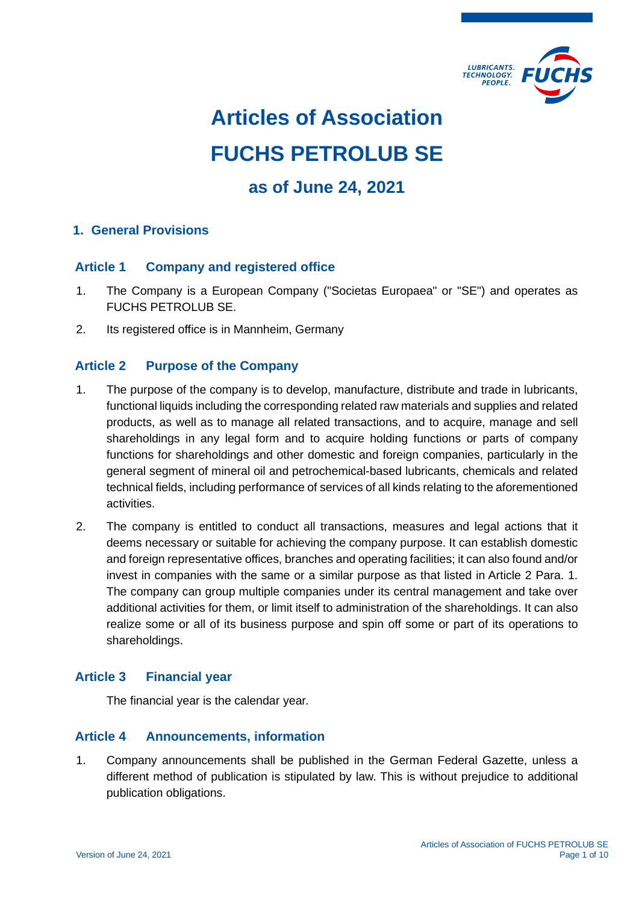

# **Articles of Association FUCHS PETROLUB SE**

# **as of June 24, 2021**

# **1. General Provisions**

# **Article 1 Company and registered office**

- 1. The Company is a European Company ("Societas Europaea" or "SE") and operates as FUCHS PETROLUB SE.
- 2. Its registered office is in Mannheim, Germany

# **Article 2 Purpose of the Company**

- 1. The purpose of the company is to develop, manufacture, distribute and trade in lubricants, functional liquids including the corresponding related raw materials and supplies and related products, as well as to manage all related transactions, and to acquire, manage and sell shareholdings in any legal form and to acquire holding functions or parts of company functions for shareholdings and other domestic and foreign companies, particularly in the general segment of mineral oil and petrochemical-based lubricants, chemicals and related technical fields, including performance of services of all kinds relating to the aforementioned activities.
- 2. The company is entitled to conduct all transactions, measures and legal actions that it deems necessary or suitable for achieving the company purpose. It can establish domestic and foreign representative offices, branches and operating facilities; it can also found and/or invest in companies with the same or a similar purpose as that listed in Article 2 Para. 1. The company can group multiple companies under its central management and take over additional activities for them, or limit itself to administration of the shareholdings. It can also realize some or all of its business purpose and spin off some or part of its operations to shareholdings.

# **Article 3 Financial year**

The financial year is the calendar year.

# **Article 4 Announcements, information**

1. Company announcements shall be published in the German Federal Gazette, unless a different method of publication is stipulated by law. This is without prejudice to additional publication obligations.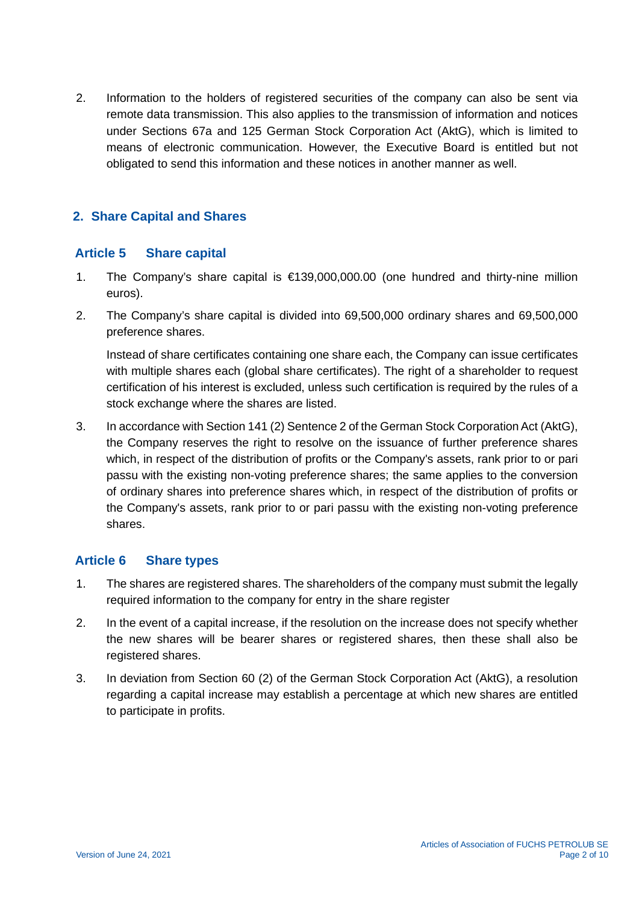2. Information to the holders of registered securities of the company can also be sent via remote data transmission. This also applies to the transmission of information and notices under Sections 67a and 125 German Stock Corporation Act (AktG), which is limited to means of electronic communication. However, the Executive Board is entitled but not obligated to send this information and these notices in another manner as well.

# **2. Share Capital and Shares**

# **Article 5 Share capital**

- 1. The Company's share capital is €139,000,000.00 (one hundred and thirty-nine million euros).
- 2. The Company's share capital is divided into 69,500,000 ordinary shares and 69,500,000 preference shares.

Instead of share certificates containing one share each, the Company can issue certificates with multiple shares each (global share certificates). The right of a shareholder to request certification of his interest is excluded, unless such certification is required by the rules of a stock exchange where the shares are listed.

3. In accordance with Section 141 (2) Sentence 2 of the German Stock Corporation Act (AktG), the Company reserves the right to resolve on the issuance of further preference shares which, in respect of the distribution of profits or the Company's assets, rank prior to or pari passu with the existing non-voting preference shares; the same applies to the conversion of ordinary shares into preference shares which, in respect of the distribution of profits or the Company's assets, rank prior to or pari passu with the existing non-voting preference shares.

# **Article 6 Share types**

- 1. The shares are registered shares. The shareholders of the company must submit the legally required information to the company for entry in the share register
- 2. In the event of a capital increase, if the resolution on the increase does not specify whether the new shares will be bearer shares or registered shares, then these shall also be registered shares.
- 3. In deviation from Section 60 (2) of the German Stock Corporation Act (AktG), a resolution regarding a capital increase may establish a percentage at which new shares are entitled to participate in profits.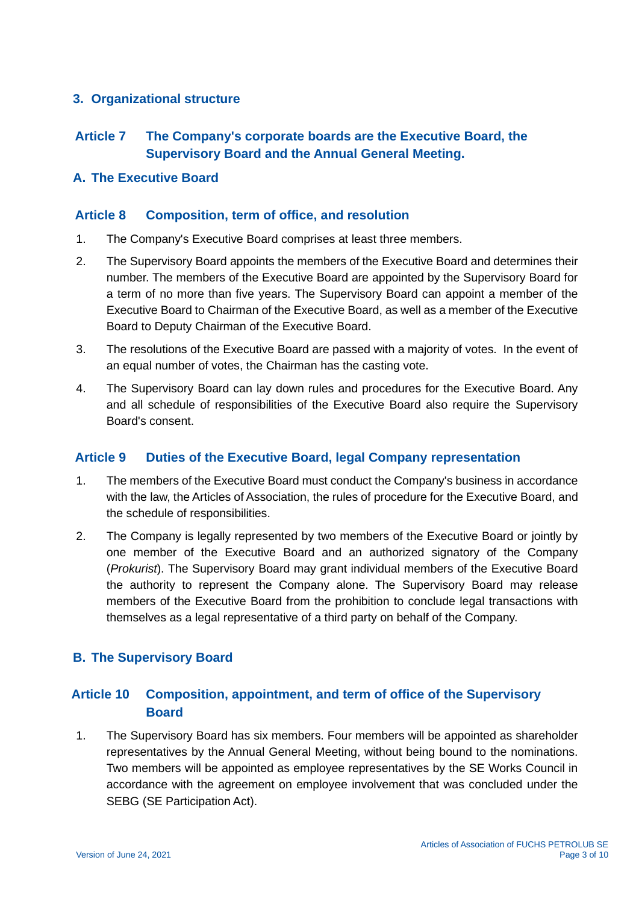# **3. Organizational structure**

# **Article 7 The Company's corporate boards are the Executive Board, the Supervisory Board and the Annual General Meeting.**

#### **A. The Executive Board**

#### **Article 8 Composition, term of office, and resolution**

- 1. The Company's Executive Board comprises at least three members.
- 2. The Supervisory Board appoints the members of the Executive Board and determines their number. The members of the Executive Board are appointed by the Supervisory Board for a term of no more than five years. The Supervisory Board can appoint a member of the Executive Board to Chairman of the Executive Board, as well as a member of the Executive Board to Deputy Chairman of the Executive Board.
- 3. The resolutions of the Executive Board are passed with a majority of votes. In the event of an equal number of votes, the Chairman has the casting vote.
- 4. The Supervisory Board can lay down rules and procedures for the Executive Board. Any and all schedule of responsibilities of the Executive Board also require the Supervisory Board's consent.

#### **Article 9 Duties of the Executive Board, legal Company representation**

- 1. The members of the Executive Board must conduct the Company's business in accordance with the law, the Articles of Association, the rules of procedure for the Executive Board, and the schedule of responsibilities.
- 2. The Company is legally represented by two members of the Executive Board or jointly by one member of the Executive Board and an authorized signatory of the Company (*Prokurist*). The Supervisory Board may grant individual members of the Executive Board the authority to represent the Company alone. The Supervisory Board may release members of the Executive Board from the prohibition to conclude legal transactions with themselves as a legal representative of a third party on behalf of the Company.

# **B. The Supervisory Board**

# **Article 10 Composition, appointment, and term of office of the Supervisory Board**

1. The Supervisory Board has six members. Four members will be appointed as shareholder representatives by the Annual General Meeting, without being bound to the nominations. Two members will be appointed as employee representatives by the SE Works Council in accordance with the agreement on employee involvement that was concluded under the SEBG (SE Participation Act).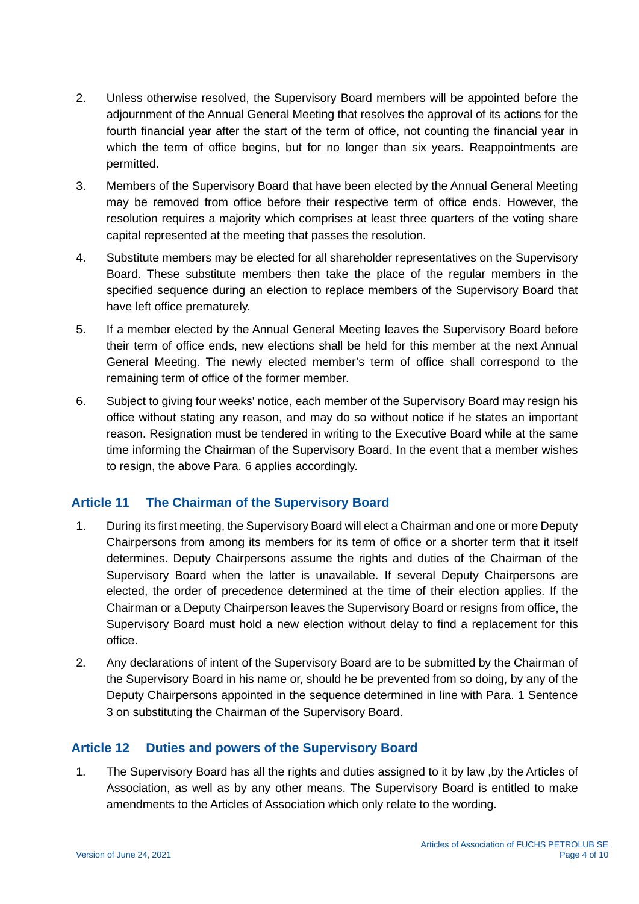- 2. Unless otherwise resolved, the Supervisory Board members will be appointed before the adjournment of the Annual General Meeting that resolves the approval of its actions for the fourth financial year after the start of the term of office, not counting the financial year in which the term of office begins, but for no longer than six years. Reappointments are permitted.
- 3. Members of the Supervisory Board that have been elected by the Annual General Meeting may be removed from office before their respective term of office ends. However, the resolution requires a majority which comprises at least three quarters of the voting share capital represented at the meeting that passes the resolution.
- 4. Substitute members may be elected for all shareholder representatives on the Supervisory Board. These substitute members then take the place of the regular members in the specified sequence during an election to replace members of the Supervisory Board that have left office prematurely.
- 5. If a member elected by the Annual General Meeting leaves the Supervisory Board before their term of office ends, new elections shall be held for this member at the next Annual General Meeting. The newly elected member's term of office shall correspond to the remaining term of office of the former member.
- 6. Subject to giving four weeks' notice, each member of the Supervisory Board may resign his office without stating any reason, and may do so without notice if he states an important reason. Resignation must be tendered in writing to the Executive Board while at the same time informing the Chairman of the Supervisory Board. In the event that a member wishes to resign, the above Para. 6 applies accordingly.

# **Article 11 The Chairman of the Supervisory Board**

- 1. During its first meeting, the Supervisory Board will elect a Chairman and one or more Deputy Chairpersons from among its members for its term of office or a shorter term that it itself determines. Deputy Chairpersons assume the rights and duties of the Chairman of the Supervisory Board when the latter is unavailable. If several Deputy Chairpersons are elected, the order of precedence determined at the time of their election applies. If the Chairman or a Deputy Chairperson leaves the Supervisory Board or resigns from office, the Supervisory Board must hold a new election without delay to find a replacement for this office.
- 2. Any declarations of intent of the Supervisory Board are to be submitted by the Chairman of the Supervisory Board in his name or, should he be prevented from so doing, by any of the Deputy Chairpersons appointed in the sequence determined in line with Para. 1 Sentence 3 on substituting the Chairman of the Supervisory Board.

# **Article 12 Duties and powers of the Supervisory Board**

1. The Supervisory Board has all the rights and duties assigned to it by law ,by the Articles of Association, as well as by any other means. The Supervisory Board is entitled to make amendments to the Articles of Association which only relate to the wording.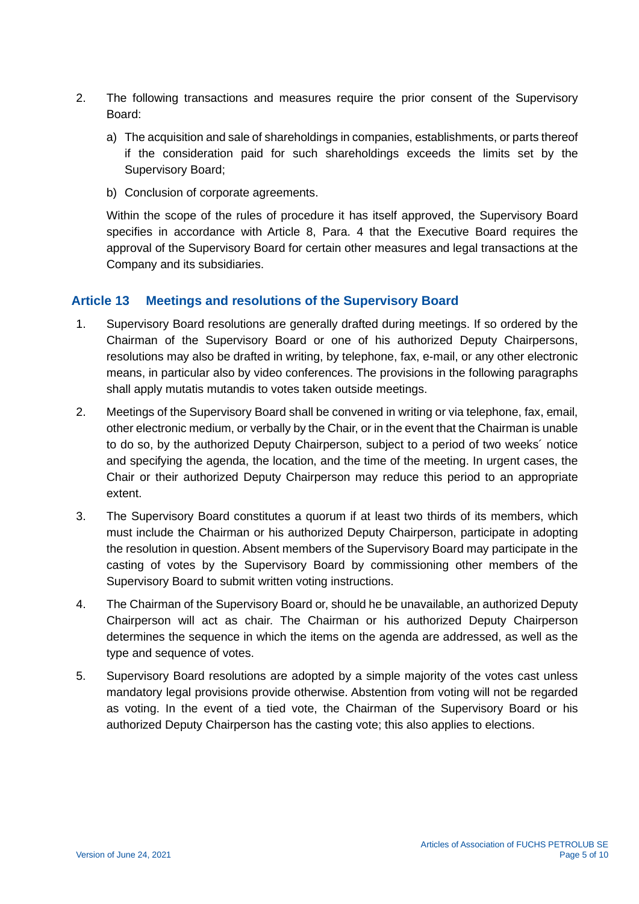- 2. The following transactions and measures require the prior consent of the Supervisory Board:
	- a) The acquisition and sale of shareholdings in companies, establishments, or parts thereof if the consideration paid for such shareholdings exceeds the limits set by the Supervisory Board;
	- b) Conclusion of corporate agreements.

Within the scope of the rules of procedure it has itself approved, the Supervisory Board specifies in accordance with Article 8, Para. 4 that the Executive Board requires the approval of the Supervisory Board for certain other measures and legal transactions at the Company and its subsidiaries.

# **Article 13 Meetings and resolutions of the Supervisory Board**

- 1. Supervisory Board resolutions are generally drafted during meetings. If so ordered by the Chairman of the Supervisory Board or one of his authorized Deputy Chairpersons, resolutions may also be drafted in writing, by telephone, fax, e-mail, or any other electronic means, in particular also by video conferences. The provisions in the following paragraphs shall apply mutatis mutandis to votes taken outside meetings.
- 2. Meetings of the Supervisory Board shall be convened in writing or via telephone, fax, email, other electronic medium, or verbally by the Chair, or in the event that the Chairman is unable to do so, by the authorized Deputy Chairperson, subject to a period of two weeks´ notice and specifying the agenda, the location, and the time of the meeting. In urgent cases, the Chair or their authorized Deputy Chairperson may reduce this period to an appropriate extent.
- 3. The Supervisory Board constitutes a quorum if at least two thirds of its members, which must include the Chairman or his authorized Deputy Chairperson, participate in adopting the resolution in question. Absent members of the Supervisory Board may participate in the casting of votes by the Supervisory Board by commissioning other members of the Supervisory Board to submit written voting instructions.
- 4. The Chairman of the Supervisory Board or, should he be unavailable, an authorized Deputy Chairperson will act as chair. The Chairman or his authorized Deputy Chairperson determines the sequence in which the items on the agenda are addressed, as well as the type and sequence of votes.
- 5. Supervisory Board resolutions are adopted by a simple majority of the votes cast unless mandatory legal provisions provide otherwise. Abstention from voting will not be regarded as voting. In the event of a tied vote, the Chairman of the Supervisory Board or his authorized Deputy Chairperson has the casting vote; this also applies to elections.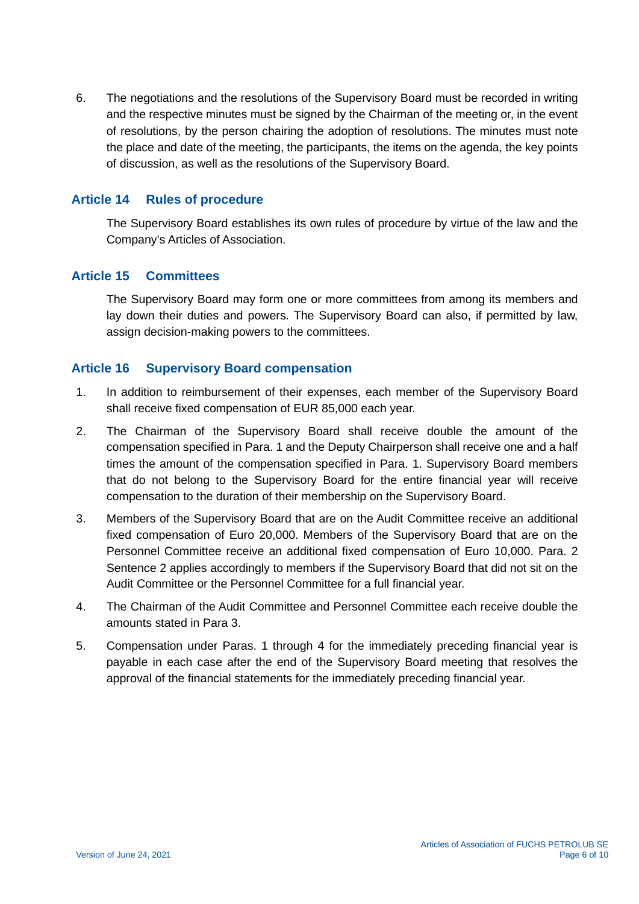6. The negotiations and the resolutions of the Supervisory Board must be recorded in writing and the respective minutes must be signed by the Chairman of the meeting or, in the event of resolutions, by the person chairing the adoption of resolutions. The minutes must note the place and date of the meeting, the participants, the items on the agenda, the key points of discussion, as well as the resolutions of the Supervisory Board.

# **Article 14 Rules of procedure**

The Supervisory Board establishes its own rules of procedure by virtue of the law and the Company's Articles of Association.

#### **Article 15 Committees**

The Supervisory Board may form one or more committees from among its members and lay down their duties and powers. The Supervisory Board can also, if permitted by law, assign decision-making powers to the committees.

#### **Article 16 Supervisory Board compensation**

- 1. In addition to reimbursement of their expenses, each member of the Supervisory Board shall receive fixed compensation of EUR 85,000 each year.
- 2. The Chairman of the Supervisory Board shall receive double the amount of the compensation specified in Para. 1 and the Deputy Chairperson shall receive one and a half times the amount of the compensation specified in Para. 1. Supervisory Board members that do not belong to the Supervisory Board for the entire financial year will receive compensation to the duration of their membership on the Supervisory Board.
- 3. Members of the Supervisory Board that are on the Audit Committee receive an additional fixed compensation of Euro 20,000. Members of the Supervisory Board that are on the Personnel Committee receive an additional fixed compensation of Euro 10,000. Para. 2 Sentence 2 applies accordingly to members if the Supervisory Board that did not sit on the Audit Committee or the Personnel Committee for a full financial year.
- 4. The Chairman of the Audit Committee and Personnel Committee each receive double the amounts stated in Para 3.
- 5. Compensation under Paras. 1 through 4 for the immediately preceding financial year is payable in each case after the end of the Supervisory Board meeting that resolves the approval of the financial statements for the immediately preceding financial year.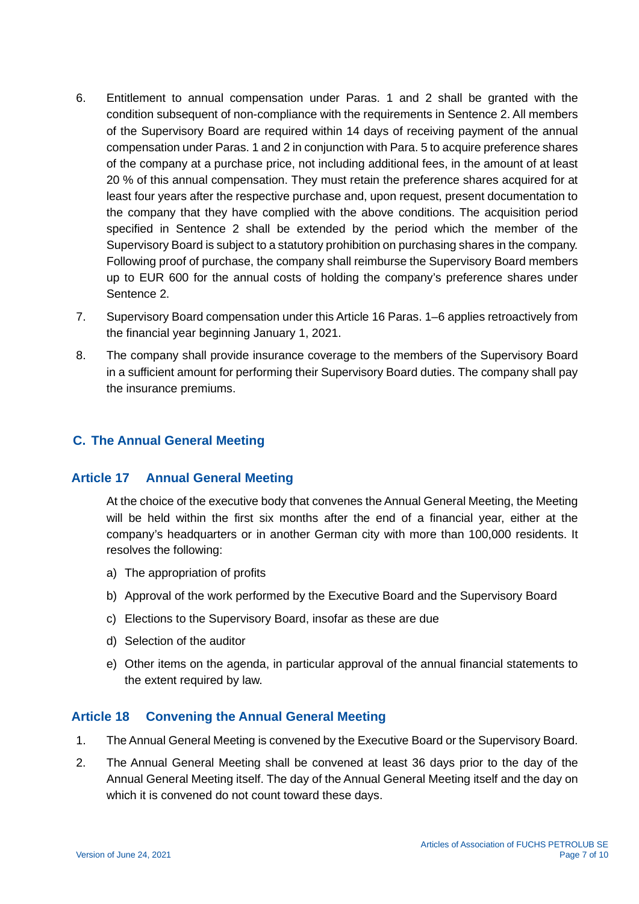- 6. Entitlement to annual compensation under Paras. 1 and 2 shall be granted with the condition subsequent of non-compliance with the requirements in Sentence 2. All members of the Supervisory Board are required within 14 days of receiving payment of the annual compensation under Paras. 1 and 2 in conjunction with Para. 5 to acquire preference shares of the company at a purchase price, not including additional fees, in the amount of at least 20 % of this annual compensation. They must retain the preference shares acquired for at least four years after the respective purchase and, upon request, present documentation to the company that they have complied with the above conditions. The acquisition period specified in Sentence 2 shall be extended by the period which the member of the Supervisory Board is subject to a statutory prohibition on purchasing shares in the company. Following proof of purchase, the company shall reimburse the Supervisory Board members up to EUR 600 for the annual costs of holding the company's preference shares under Sentence 2.
- 7. Supervisory Board compensation under this Article 16 Paras. 1–6 applies retroactively from the financial year beginning January 1, 2021.
- 8. The company shall provide insurance coverage to the members of the Supervisory Board in a sufficient amount for performing their Supervisory Board duties. The company shall pay the insurance premiums.

# **C. The Annual General Meeting**

#### **Article 17 Annual General Meeting**

At the choice of the executive body that convenes the Annual General Meeting, the Meeting will be held within the first six months after the end of a financial year, either at the company's headquarters or in another German city with more than 100,000 residents. It resolves the following:

- a) The appropriation of profits
- b) Approval of the work performed by the Executive Board and the Supervisory Board
- c) Elections to the Supervisory Board, insofar as these are due
- d) Selection of the auditor
- e) Other items on the agenda, in particular approval of the annual financial statements to the extent required by law.

#### **Article 18 Convening the Annual General Meeting**

- 1. The Annual General Meeting is convened by the Executive Board or the Supervisory Board.
- 2. The Annual General Meeting shall be convened at least 36 days prior to the day of the Annual General Meeting itself. The day of the Annual General Meeting itself and the day on which it is convened do not count toward these days.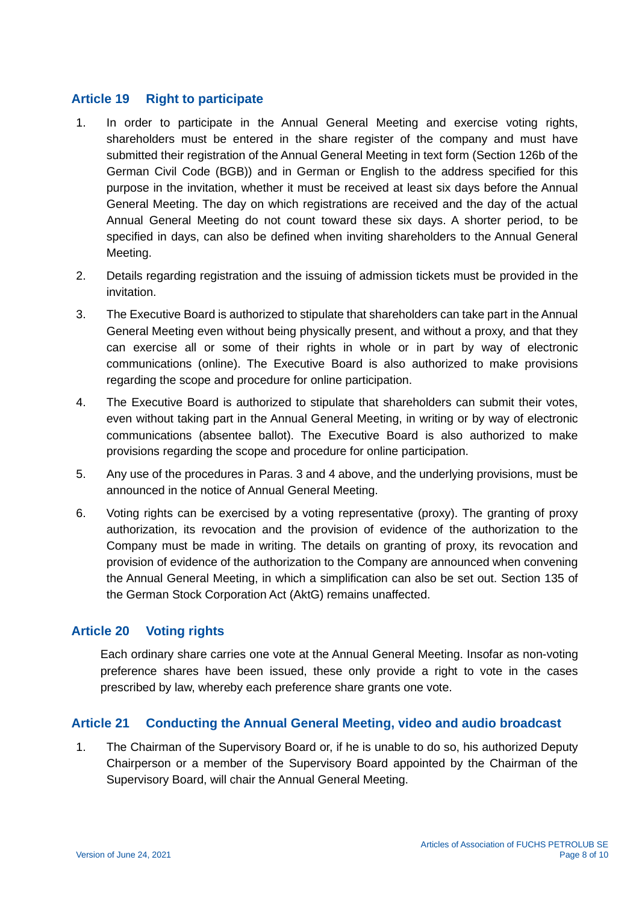#### **Article 19 Right to participate**

- 1. In order to participate in the Annual General Meeting and exercise voting rights, shareholders must be entered in the share register of the company and must have submitted their registration of the Annual General Meeting in text form (Section 126b of the German Civil Code (BGB)) and in German or English to the address specified for this purpose in the invitation, whether it must be received at least six days before the Annual General Meeting. The day on which registrations are received and the day of the actual Annual General Meeting do not count toward these six days. A shorter period, to be specified in days, can also be defined when inviting shareholders to the Annual General Meeting.
- 2. Details regarding registration and the issuing of admission tickets must be provided in the invitation.
- 3. The Executive Board is authorized to stipulate that shareholders can take part in the Annual General Meeting even without being physically present, and without a proxy, and that they can exercise all or some of their rights in whole or in part by way of electronic communications (online). The Executive Board is also authorized to make provisions regarding the scope and procedure for online participation.
- 4. The Executive Board is authorized to stipulate that shareholders can submit their votes, even without taking part in the Annual General Meeting, in writing or by way of electronic communications (absentee ballot). The Executive Board is also authorized to make provisions regarding the scope and procedure for online participation.
- 5. Any use of the procedures in Paras. 3 and 4 above, and the underlying provisions, must be announced in the notice of Annual General Meeting.
- 6. Voting rights can be exercised by a voting representative (proxy). The granting of proxy authorization, its revocation and the provision of evidence of the authorization to the Company must be made in writing. The details on granting of proxy, its revocation and provision of evidence of the authorization to the Company are announced when convening the Annual General Meeting, in which a simplification can also be set out. Section 135 of the German Stock Corporation Act (AktG) remains unaffected.

# **Article 20 Voting rights**

Each ordinary share carries one vote at the Annual General Meeting. Insofar as non-voting preference shares have been issued, these only provide a right to vote in the cases prescribed by law, whereby each preference share grants one vote.

#### **Article 21 Conducting the Annual General Meeting, video and audio broadcast**

1. The Chairman of the Supervisory Board or, if he is unable to do so, his authorized Deputy Chairperson or a member of the Supervisory Board appointed by the Chairman of the Supervisory Board, will chair the Annual General Meeting.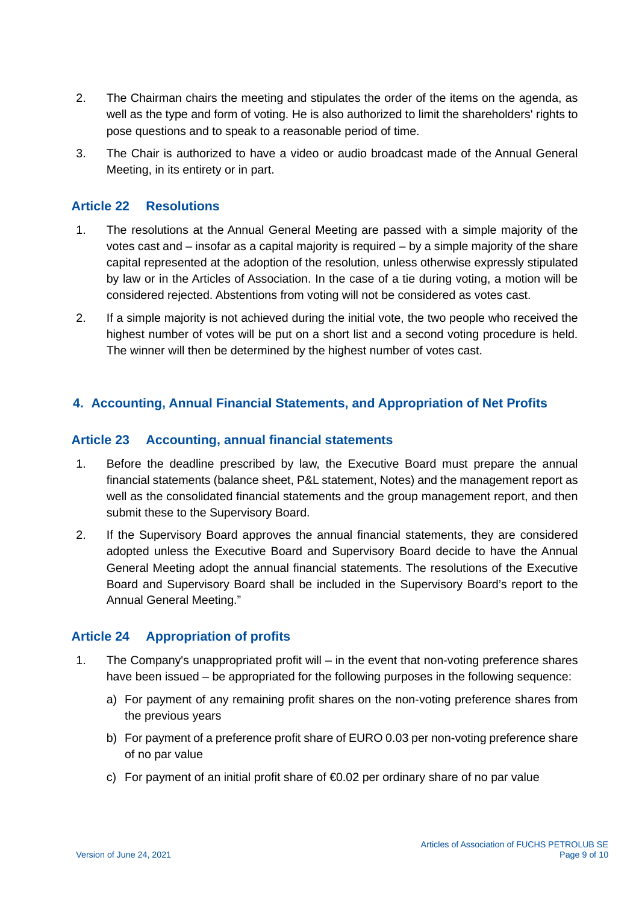- 2. The Chairman chairs the meeting and stipulates the order of the items on the agenda, as well as the type and form of voting. He is also authorized to limit the shareholders' rights to pose questions and to speak to a reasonable period of time.
- 3. The Chair is authorized to have a video or audio broadcast made of the Annual General Meeting, in its entirety or in part.

#### **Article 22 Resolutions**

- 1. The resolutions at the Annual General Meeting are passed with a simple majority of the votes cast and – insofar as a capital majority is required – by a simple majority of the share capital represented at the adoption of the resolution, unless otherwise expressly stipulated by law or in the Articles of Association. In the case of a tie during voting, a motion will be considered rejected. Abstentions from voting will not be considered as votes cast.
- 2. If a simple majority is not achieved during the initial vote, the two people who received the highest number of votes will be put on a short list and a second voting procedure is held. The winner will then be determined by the highest number of votes cast.

#### **4. Accounting, Annual Financial Statements, and Appropriation of Net Profits**

#### **Article 23 Accounting, annual financial statements**

- 1. Before the deadline prescribed by law, the Executive Board must prepare the annual financial statements (balance sheet, P&L statement, Notes) and the management report as well as the consolidated financial statements and the group management report, and then submit these to the Supervisory Board.
- 2. If the Supervisory Board approves the annual financial statements, they are considered adopted unless the Executive Board and Supervisory Board decide to have the Annual General Meeting adopt the annual financial statements. The resolutions of the Executive Board and Supervisory Board shall be included in the Supervisory Board's report to the Annual General Meeting."

#### **Article 24 Appropriation of profits**

- 1. The Company's unappropriated profit will in the event that non-voting preference shares have been issued – be appropriated for the following purposes in the following sequence:
	- a) For payment of any remaining profit shares on the non-voting preference shares from the previous years
	- b) For payment of a preference profit share of EURO 0.03 per non-voting preference share of no par value
	- c) For payment of an initial profit share of  $\bigoplus$  0.02 per ordinary share of no par value